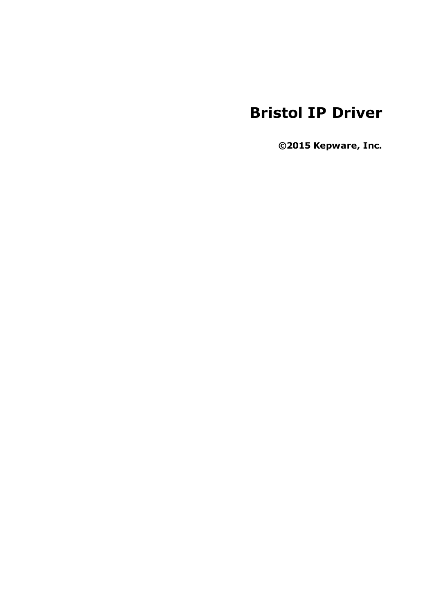# **Bristol IP Driver**

**©2015 Kepware, Inc.**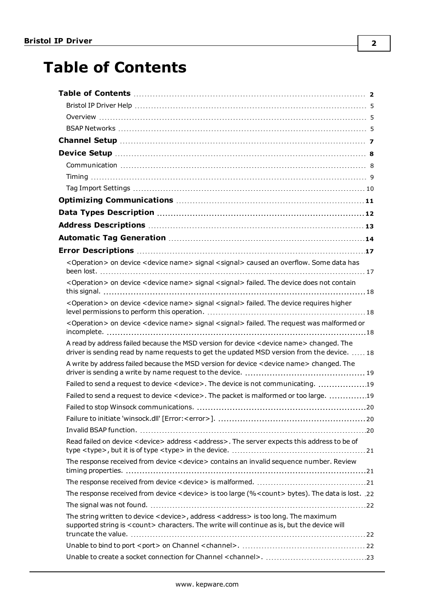# <span id="page-1-0"></span>**Table of Contents**

| <operation> on device <device name=""> signal <signal> caused an overflow. Some data has</signal></device></operation>                                                                                      |  |
|-------------------------------------------------------------------------------------------------------------------------------------------------------------------------------------------------------------|--|
| <operation> on device <device name=""> signal <signal> failed. The device does not contain</signal></device></operation>                                                                                    |  |
| <operation> on device <device name=""> signal <signal> failed. The device requires higher</signal></device></operation>                                                                                     |  |
| <operation> on device <device name=""> signal <signal> failed. The request was malformed or</signal></device></operation>                                                                                   |  |
| A read by address failed because the MSD version for device < device name> changed. The<br>driver is sending read by name requests to get the updated MSD version from the device.  18                      |  |
| A write by address failed because the MSD version for device < device name> changed. The                                                                                                                    |  |
| Failed to send a request to device < device >. The device is not communicating.  19                                                                                                                         |  |
| Failed to send a request to device < device >. The packet is malformed or too large. 19                                                                                                                     |  |
|                                                                                                                                                                                                             |  |
|                                                                                                                                                                                                             |  |
|                                                                                                                                                                                                             |  |
| Read failed on device <device> address <address>. The server expects this address to be of</address></device>                                                                                               |  |
| The response received from device <device> contains an invalid sequence number. Review</device>                                                                                                             |  |
|                                                                                                                                                                                                             |  |
| The response received from device < device> is too large (% <count> bytes). The data is lost. .22</count>                                                                                                   |  |
|                                                                                                                                                                                                             |  |
| The string written to device <device>, address <address> is too long. The maximum<br/>supported string is <count> characters. The write will continue as is, but the device will</count></address></device> |  |
|                                                                                                                                                                                                             |  |
|                                                                                                                                                                                                             |  |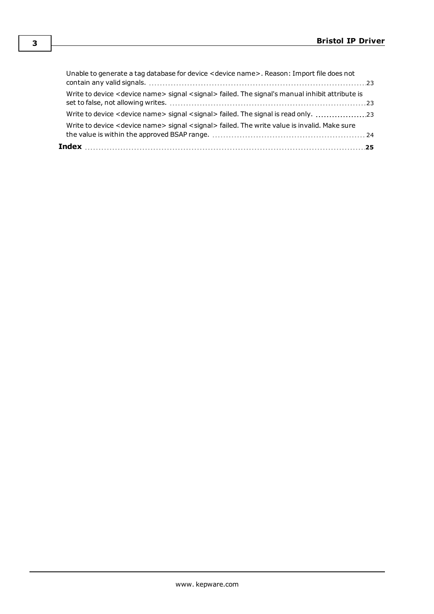| Write to device <device name=""> signal <signal> failed. The write value is invalid. Make sure</signal></device>    |  |
|---------------------------------------------------------------------------------------------------------------------|--|
|                                                                                                                     |  |
| Write to device <device name=""> signal <signal> failed. The signal's manual inhibit attribute is</signal></device> |  |
| Unable to generate a tag database for device < device name>. Reason: Import file does not                           |  |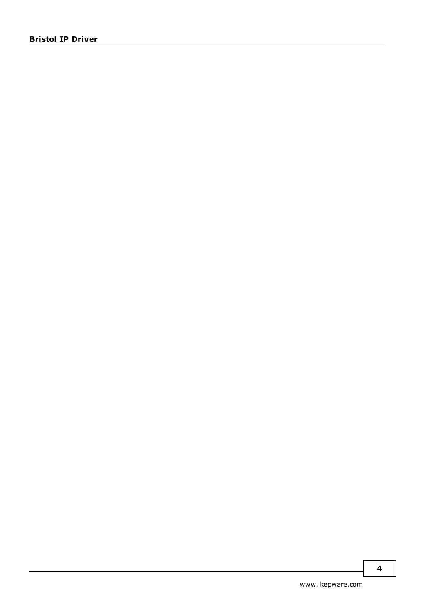**4**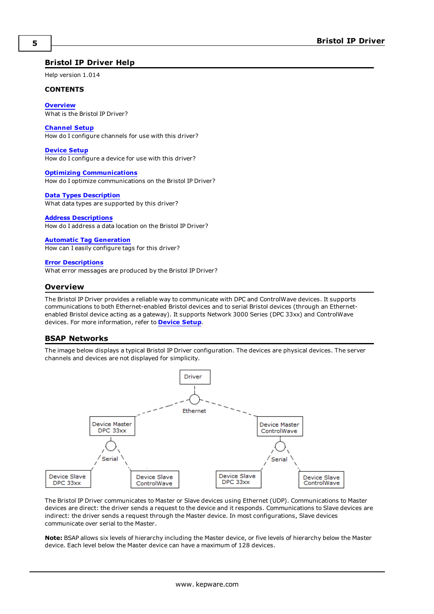## <span id="page-4-0"></span>**Bristol IP Driver Help**

Help version 1.014

#### **CONTENTS**

**[Overview](#page-4-1)** What is the Bristol IP Driver?

#### **[Channel](#page-6-0) Setup**

How do I configure channels for use with this driver?

#### **[Device](#page-7-0) Setup**

How do I configure a device for use with this driver?

#### **Optimizing [Communications](#page-10-0)** How do I optimize communications on the Bristol IP Driver?

#### **Data Types [Description](#page-11-0)**

What data types are supported by this driver?

#### **Address [Descriptions](#page-12-0)**

How do I address a data location on the Bristol IP Driver?

#### **Automatic Tag [Generation](#page-13-0)**

How can I easily configure tags for this driver?

#### **Error [Descriptions](#page-16-0)**

<span id="page-4-1"></span>What error messages are produced by the Bristol IP Driver?

#### **Overview**

The Bristol IP Driver provides a reliable way to communicate with DPC and ControlWave devices. It supports communications to both Ethernet-enabled Bristol devices and to serial Bristol devices (through an Ethernetenabled Bristol device acting as a gateway). It supports Network 3000 Series (DPC 33xx) and ControlWave devices. For more information, refer to **[Device](#page-7-0) Setup**.

#### <span id="page-4-2"></span>**BSAP Networks**

The image below displays a typical Bristol IP Driver configuration. The devices are physical devices. The server channels and devices are not displayed for simplicity.



The Bristol IP Driver communicates to Master or Slave devices using Ethernet (UDP). Communications to Master devices are direct: the driver sends a request to the device and it responds. Communications to Slave devices are indirect: the driver sends a request through the Master device. In most configurations, Slave devices communicate over serial to the Master.

**Note:** BSAP allows six levels of hierarchy including the Master device, or five levels of hierarchy below the Master device. Each level below the Master device can have a maximum of 128 devices.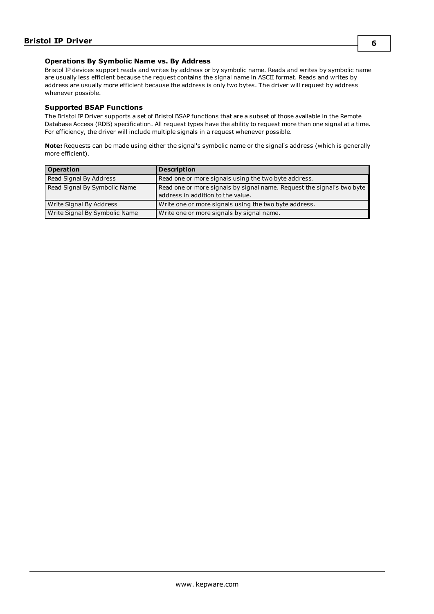#### **Operations By Symbolic Name vs. By Address**

Bristol IP devices support reads and writes by address or by symbolic name. Reads and writes by symbolic name are usually less efficient because the request contains the signal name in ASCII format. Reads and writes by address are usually more efficient because the address is only two bytes. The driver will request by address whenever possible.

#### **Supported BSAP Functions**

The Bristol IP Driver supports a set of Bristol BSAP functions that are a subset of those available in the Remote Database Access (RDB) specification. All request types have the ability to request more than one signal at a time. For efficiency, the driver will include multiple signals in a request whenever possible.

**Note:** Requests can be made using either the signal's symbolic name or the signal's address (which is generally more efficient).

| <b>Operation</b>              | <b>Description</b>                                                                                          |
|-------------------------------|-------------------------------------------------------------------------------------------------------------|
| Read Signal By Address        | Read one or more signals using the two byte address.                                                        |
| Read Signal By Symbolic Name  | Read one or more signals by signal name. Request the signal's two byte<br>address in addition to the value. |
| Write Signal By Address       | Write one or more signals using the two byte address.                                                       |
| Write Signal By Symbolic Name | Write one or more signals by signal name.                                                                   |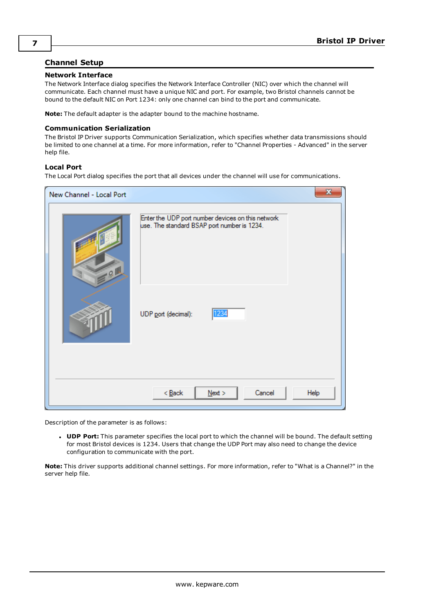## <span id="page-6-0"></span>**Channel Setup**

#### **Network Interface**

The Network Interface dialog specifies the Network Interface Controller (NIC) over which the channel will communicate. Each channel must have a unique NIC and port. For example, two Bristol channels cannot be bound to the default NIC on Port 1234: only one channel can bind to the port and communicate.

**Note:** The default adapter is the adapter bound to the machine hostname.

#### **Communication Serialization**

The Bristol IP Driver supports Communication Serialization, which specifies whether data transmissions should be limited to one channel at a time. For more information, refer to "Channel Properties - Advanced" in the server help file.

#### **Local Port**

The Local Port dialog specifies the port that all devices under the channel will use for communications.

| New Channel - Local Port | $\mathbf{x}$                                                                                     |  |
|--------------------------|--------------------------------------------------------------------------------------------------|--|
| $-9$                     | Enter the UDP port number devices on this network<br>use. The standard BSAP port number is 1234. |  |
|                          | 234<br>UDP port (decimal):                                                                       |  |
|                          | $<$ Back<br>Cancel<br>$N$ ext ><br>Help                                                          |  |

Description of the parameter is as follows:

**UDP Port:** This parameter specifies the local port to which the channel will be bound. The default setting for most Bristol devices is 1234. Users that change the UDP Port may also need to change the device configuration to communicate with the port.

**Note:** This driver supports additional channel settings. For more information, refer to "What is a Channel?" in the server help file.

**7**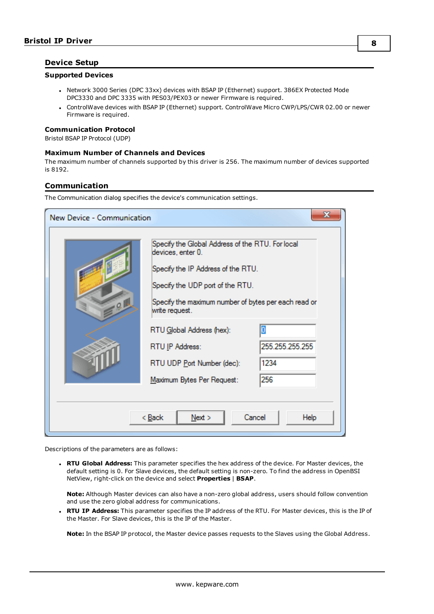### <span id="page-7-0"></span>**Device Setup**

#### **Supported Devices**

- <sup>l</sup> Network 3000 Series (DPC 33xx) devices with BSAP IP (Ethernet) support. 386EX Protected Mode DPC3330 and DPC 3335 with PES03/PEX03 or newer Firmware is required.
- <sup>l</sup> ControlWave devices with BSAP IP (Ethernet) support. ControlWave Micro CWP/LPS/CWR 02.00 or newer Firmware is required.

#### **Communication Protocol**

Bristol BSAP IP Protocol (UDP)

#### **Maximum Number of Channels and Devices**

The maximum number of channels supported by this driver is 256. The maximum number of devices supported is 8192.

#### <span id="page-7-1"></span>**Communication**

The Communication dialog specifies the device's communication settings.

| X<br>New Device - Communication          |                                                                                                             |                                |  |  |
|------------------------------------------|-------------------------------------------------------------------------------------------------------------|--------------------------------|--|--|
|                                          | Specify the Global Address of the RTU. For local<br>devices, enter 0.<br>Specify the IP Address of the RTU. |                                |  |  |
| 9                                        | Specify the UDP port of the RTU.<br>Specify the maximum number of bytes per each read or<br>write request.  |                                |  |  |
|                                          | RTU Global Address (hex):<br>RTU IP Address:<br>RTU UDP Port Number (dec):<br>Maximum Bytes Per Request:    | 255.255.255.255<br>1234<br>256 |  |  |
| Cancel<br>< <u>B</u> ack<br>Next<br>Help |                                                                                                             |                                |  |  |

Descriptions of the parameters are as follows:

<sup>l</sup> **RTU Global Address:** This parameter specifies the hex address of the device. For Master devices, the default setting is 0. For Slave devices, the default setting is non-zero. To find the address in OpenBSI NetView, right-click on the device and select **Properties** | **BSAP**.

**Note:** Although Master devices can also have a non-zero global address, users should follow convention and use the zero global address for communications.

<sup>l</sup> **RTU IP Address:** This parameter specifies the IP address of the RTU. For Master devices, this is the IP of the Master. For Slave devices, this is the IP of the Master.

**Note:** In the BSAP IP protocol, the Master device passes requests to the Slaves using the Global Address.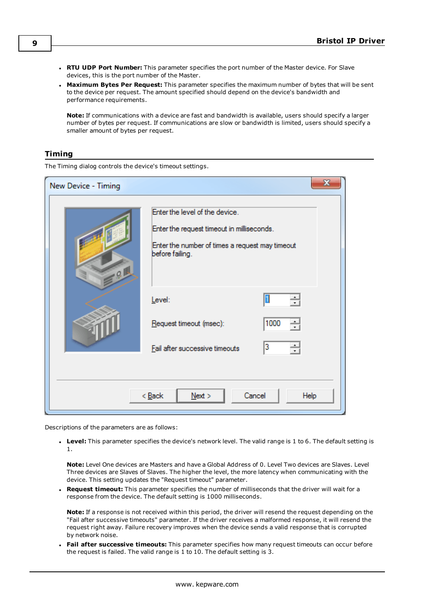- <sup>l</sup> **RTU UDP Port Number:** This parameter specifies the port number of the Master device. For Slave devices, this is the port number of the Master.
- <sup>l</sup> **Maximum Bytes Per Request:** This parameter specifies the maximum number of bytes that will be sent to the device per request. The amount specified should depend on the device's bandwidth and performance requirements.

**Note:** If communications with a device are fast and bandwidth is available, users should specify a larger number of bytes per request. If communications are slow or bandwidth is limited, users should specify a smaller amount of bytes per request.

## <span id="page-8-0"></span>**Timing**

The Timing dialog controls the device's timeout settings.

| New Device - Timing                |                                                                                                                                                    | $\mathbf x$ |  |
|------------------------------------|----------------------------------------------------------------------------------------------------------------------------------------------------|-------------|--|
|                                    | Enter the level of the device.<br>Enter the request timeout in milliseconds.<br>Enter the number of times a request may timeout<br>before failing. |             |  |
|                                    | Level:                                                                                                                                             | 싂           |  |
|                                    | Request timeout (msec):                                                                                                                            | 1000<br>÷   |  |
|                                    | Fail after successive timeouts                                                                                                                     | 싂<br>3      |  |
|                                    |                                                                                                                                                    |             |  |
| Cancel<br>$<$ Back<br>Next<br>Help |                                                                                                                                                    |             |  |

Descriptions of the parameters are as follows:

**Level:** This parameter specifies the device's network level. The valid range is 1 to 6. The default setting is 1.

**Note:** Level One devices are Masters and have a Global Address of 0. Level Two devices are Slaves. Level Three devices are Slaves of Slaves. The higher the level, the more latency when communicating with the device. This setting updates the "Request timeout" parameter.

**Request timeout:** This parameter specifies the number of milliseconds that the driver will wait for a response from the device. The default setting is 1000 milliseconds.

**Note:** If a response is not received within this period, the driver will resend the request depending on the "Fail after successive timeouts" parameter. If the driver receives a malformed response, it will resend the request right away. Failure recovery improves when the device sends a valid response that is corrupted by network noise.

<sup>l</sup> **Fail after successive timeouts:** This parameter specifies how many request timeouts can occur before the request is failed. The valid range is 1 to 10. The default setting is 3.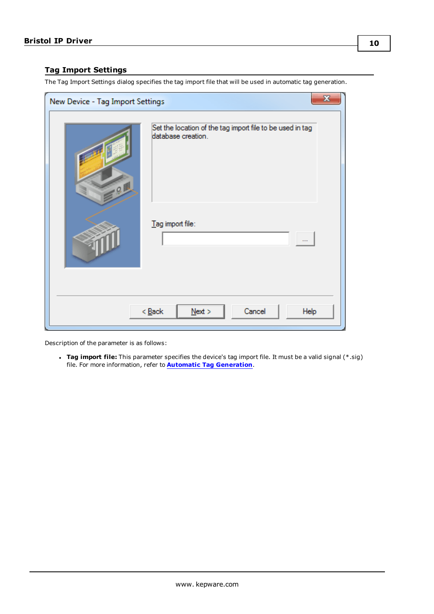## <span id="page-9-0"></span>**Tag Import Settings**

The Tag Import Settings dialog specifies the tag import file that will be used in automatic tag generation.

| X<br>New Device - Tag Import Settings   |                                                                                 |  |  |  |
|-----------------------------------------|---------------------------------------------------------------------------------|--|--|--|
| $-0$                                    | Set the location of the tag import file to be used in tag<br>database creation. |  |  |  |
|                                         | Tag import file:<br>                                                            |  |  |  |
| $<$ Back<br>$N$ ext ><br>Cancel<br>Help |                                                                                 |  |  |  |

Description of the parameter is as follows:

<sup>l</sup> **Tag import file:** This parameter specifies the device's tag import file. It must be a valid signal (\*.sig) file. For more information, refer to **Automatic Tag [Generation](#page-13-0)**.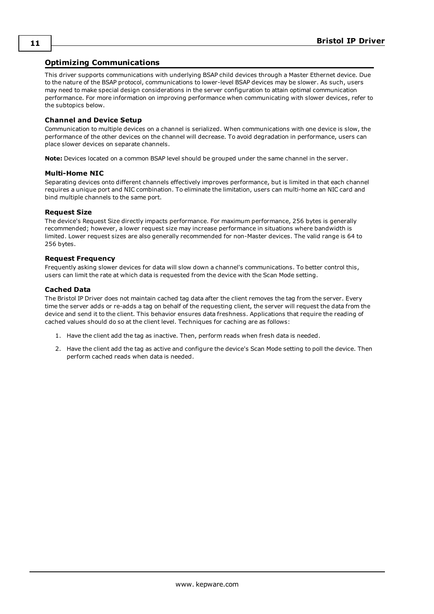## <span id="page-10-0"></span>**Optimizing Communications**

This driver supports communications with underlying BSAP child devices through a Master Ethernet device. Due to the nature of the BSAP protocol, communications to lower-level BSAP devices may be slower. As such, users may need to make special design considerations in the server configuration to attain optimal communication performance. For more information on improving performance when communicating with slower devices, refer to the subtopics below.

### **Channel and Device Setup**

Communication to multiple devices on a channel is serialized. When communications with one device is slow, the performance of the other devices on the channel will decrease. To avoid degradation in performance, users can place slower devices on separate channels.

**Note:** Devices located on a common BSAP level should be grouped under the same channel in the server.

#### **Multi-Home NIC**

Separating devices onto different channels effectively improves performance, but is limited in that each channel requires a unique port and NIC combination. To eliminate the limitation, users can multi-home an NIC card and bind multiple channels to the same port.

#### **Request Size**

The device's Request Size directly impacts performance. For maximum performance, 256 bytes is generally recommended; however, a lower request size may increase performance in situations where bandwidth is limited. Lower request sizes are also generally recommended for non-Master devices. The valid range is 64 to 256 bytes.

#### **Request Frequency**

Frequently asking slower devices for data will slow down a channel's communications. To better control this, users can limit the rate at which data is requested from the device with the Scan Mode setting.

#### **Cached Data**

The Bristol IP Driver does not maintain cached tag data after the client removes the tag from the server. Every time the server adds or re-adds a tag on behalf of the requesting client, the server will request the data from the device and send it to the client. This behavior ensures data freshness. Applications that require the reading of cached values should do so at the client level. Techniques for caching are as follows:

- 1. Have the client add the tag as inactive. Then, perform reads when fresh data is needed.
- 2. Have the client add the tag as active and configure the device's Scan Mode setting to poll the device. Then perform cached reads when data is needed.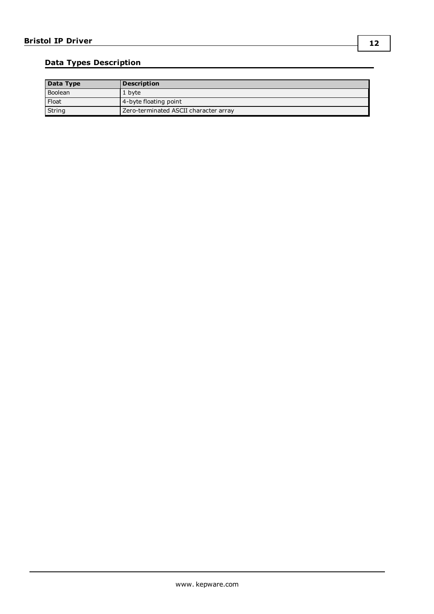## <span id="page-11-0"></span>**Data Types Description**

| Data Type | <b>Description</b>                    |
|-----------|---------------------------------------|
| Boolean   | 1 byte                                |
| Float     | 4-byte floating point                 |
| String    | Zero-terminated ASCII character array |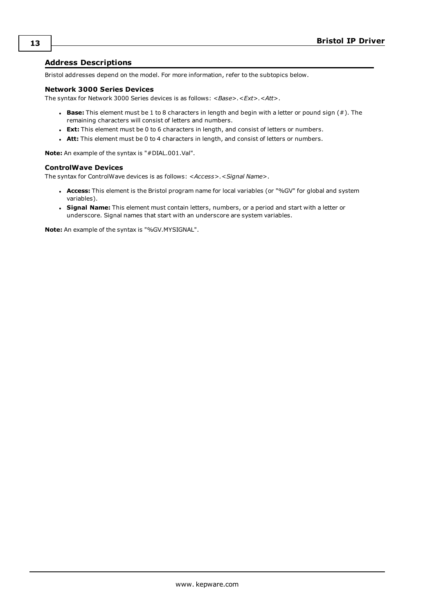## <span id="page-12-0"></span>**Address Descriptions**

Bristol addresses depend on the model. For more information, refer to the subtopics below.

#### **Network 3000 Series Devices**

The syntax for Network 3000 Series devices is as follows: *<Base>.<Ext>.<Att>*.

- **Base:** This element must be 1 to 8 characters in length and begin with a letter or pound sign (#). The remaining characters will consist of letters and numbers.
- **Ext:** This element must be 0 to 6 characters in length, and consist of letters or numbers.
- **Att:** This element must be 0 to 4 characters in length, and consist of letters or numbers.

**Note:** An example of the syntax is "#DIAL.001.Val".

#### **ControlWave Devices**

The syntax for ControlWave devices is as follows: *<Access>.<Signal Name>*.

- **Access:** This element is the Bristol program name for local variables (or "%GV" for global and system variables).
- <sup>l</sup> **Signal Name:** This element must contain letters, numbers, or a period and start with a letter or underscore. Signal names that start with an underscore are system variables.

**Note:** An example of the syntax is "%GV.MYSIGNAL".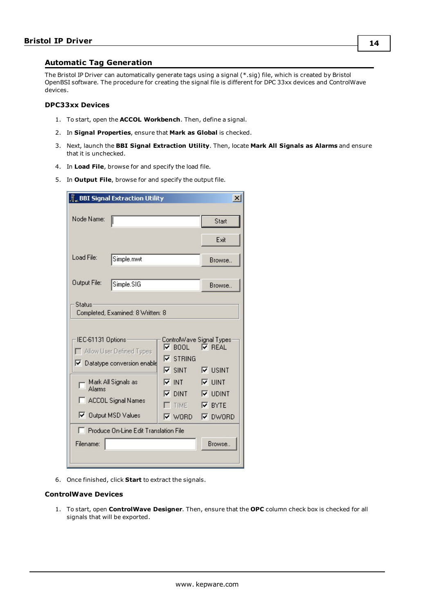## <span id="page-13-0"></span>**Automatic Tag Generation**

The Bristol IP Driver can automatically generate tags using a signal (\*.sig) file, which is created by Bristol OpenBSI software. The procedure for creating the signal file is different for DPC 33xx devices and ControlWave devices.

#### **DPC33xx Devices**

- 1. To start, open the **ACCOL Workbench**. Then, define a signal.
- 2. In **Signal Properties**, ensure that **Mark as Global** is checked.
- 3. Next, launch the **BBI Signal Extraction Utility**. Then, locate **Mark All Signals as Alarms** and ensure that it is unchecked.
- 4. In **Load File**, browse for and specify the load file.
- 5. In **Output File**, browse for and specify the output file.

| $\tilde{\vec{z}}$ , BBI Signal Extraction Utility  |                                           | $\times$       |  |  |
|----------------------------------------------------|-------------------------------------------|----------------|--|--|
| Node Name:<br>II                                   |                                           | Start          |  |  |
|                                                    |                                           | Exit           |  |  |
| Load File:<br>Simple.mwt                           |                                           | Browse         |  |  |
| Output File:<br>Simple.SIG                         |                                           | Browse.        |  |  |
| <b>Status</b><br>Completed, Examined: 8 Written: 8 |                                           |                |  |  |
| IEC-61131 Options<br>Allow User Defined Types      | ControlWave Signal Types<br>$\nabla$ BOOL | $\nabla$ REAL  |  |  |
| Datatype conversion enable                         | $\nabla$ STRING<br>$\nabla$ sint          | $\nabla$ USINT |  |  |
| Mark All Signals as<br>Alarms                      | <b>V INT</b>                              | $\nabla$ UINT  |  |  |
| ACCOL Signal Names                                 | $\nabla$ dint<br>TIME <b>V BYTE</b>       | $\nabla$ UDINT |  |  |
| □ Dutput MSD Values                                | $\nabla$ WORD                             | $\nabla$ DWORD |  |  |
| □ Produce On-Line Edit Translation File            |                                           |                |  |  |
| Filename:                                          |                                           | Browse         |  |  |
|                                                    |                                           |                |  |  |

6. Once finished, click **Start** to extract the signals.

## **ControlWave Devices**

1. To start, open **ControlWave Designer**. Then, ensure that the **OPC** column check box is checked for all signals that will be exported.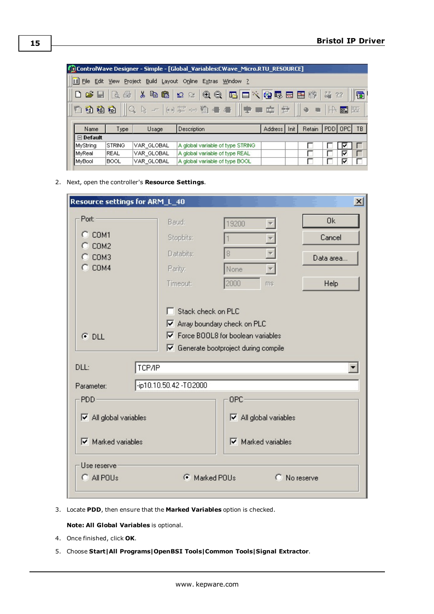| ControlWave Designer - Simple - [Global_Variables:CWave_Micro.RTU_RESOURCE] |               |                      |                                                     |         |                |                                         |    |
|-----------------------------------------------------------------------------|---------------|----------------------|-----------------------------------------------------|---------|----------------|-----------------------------------------|----|
| <b>E</b> File<br>Edit                                                       | View          | Project<br>Build     | Layout Online Extras<br>Window ?                    |         |                |                                         |    |
| $\mathcal{B} = \mathbb{R}$                                                  | ê             | 电偏<br>$\frac{1}{60}$ | 18日次@5日品略<br>$\Omega \cong  \mathbb{Q}  \mathbb{Q}$ |         |                | 論 22                                    | 届  |
| 门门右右                                                                        |               |                      | ▓░░▞░░░░░░░░░░░░░░░░░░░░░░░░░░                      | 臣       | $\oplus$       | $\blacksquare$ $\blacksquare$ $\boxdot$ |    |
|                                                                             |               |                      |                                                     |         |                |                                         |    |
|                                                                             |               |                      |                                                     |         |                |                                         |    |
| Name<br>$\Box$ Default                                                      | Type          | Usage                | <b>Description</b>                                  | Address | Retain<br>Init | PDD OPC                                 | TB |
| MyString                                                                    | <b>STRING</b> | VAR GLOBAL           | A global variable of type STRING                    |         |                |                                         |    |
| <b>MyReal</b>                                                               | REAL          | VAR GLOBAL           | A global variable of type REAL                      |         |                | ⊽                                       |    |
| MyBool                                                                      | <b>BOOL</b>   | VAR_GLOBAL           | A global variable of type BOOL                      |         |                |                                         |    |

2. Next, open the controller's **Resource Settings**.

| Resource settings for ARM_L_40                  |                        |                                                 | $\vert x \vert$ |
|-------------------------------------------------|------------------------|-------------------------------------------------|-----------------|
| Port:                                           | Baud:                  | 19200                                           | 0k              |
| $C$ COM1                                        | Stopbits:              | ¥                                               | Cancel          |
| $C$ COM2<br>$\degree$ COM3                      | Databits:              | 8<br>¥                                          | Data area       |
| $C$ COM4                                        | Parity:                | None<br>$\overline{\phantom{a}}$                |                 |
|                                                 | Timeout:               | 2000<br>ms                                      | Help            |
|                                                 | Stack check on PLC     |                                                 |                 |
|                                                 |                        | $\triangledown$ Array boundary check on PLC     |                 |
| $G$ DLL                                         |                        | $\nabla$ Force BOOL8 for boolean variables      |                 |
|                                                 |                        | Generate bootproject during compile             |                 |
| DLL:                                            | TCP/IP                 |                                                 |                 |
| Parameter:                                      | -ip10.10.50.42 -T02000 |                                                 |                 |
| PDD-                                            |                        | OPC                                             |                 |
| $\overline{\triangledown}$ All global variables |                        | $\overline{\triangledown}$ All global variables |                 |
|                                                 |                        |                                                 |                 |
| $\nabla$ Marked variables                       |                        | $\nabla$ Marked variables                       |                 |
| Use reserve                                     |                        |                                                 |                 |
| $C$ All POUs                                    | Marked POUs            |                                                 | C No reserve    |

3. Locate **PDD**, then ensure that the **Marked Variables** option is checked.

**Note: All Global Variables** is optional.

- 4. Once finished, click **OK**.
- 5. Choose **Start|All Programs|OpenBSI Tools|Common Tools|Signal Extractor**.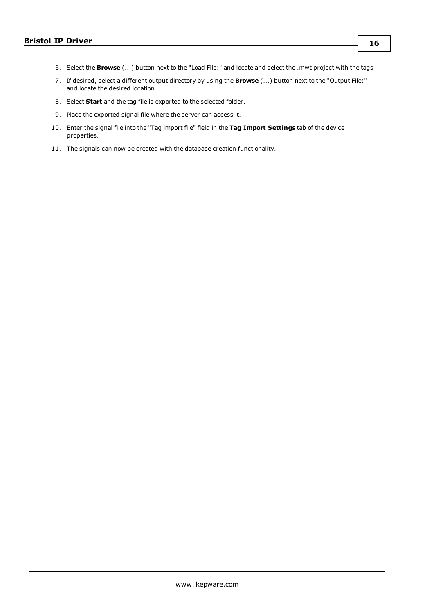- 6. Select the **Browse** (...) button next to the "Load File:" and locate and select the .mwt project with the tags
- 7. If desired, select a different output directory by using the **Browse** (...) button next to the "Output File:" and locate the desired location
- 8. Select **Start** and the tag file is exported to the selected folder.
- 9. Place the exported signal file where the server can access it.
- 10. Enter the signal file into the "Tag import file" field in the **Tag Import Settings** tab of the device properties.
- 11. The signals can now be created with the database creation functionality.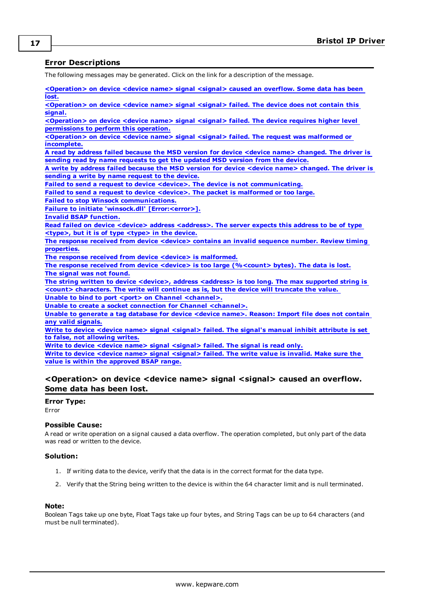### <span id="page-16-0"></span>**Error Descriptions**

The following messages may be generated. Click on the link for a description of the message.

**[<Operation>](#page-16-1) on device <device name> signal <signal> caused an overflow. Some data has been [lost.](#page-16-1)**

**[<Operation>](#page-17-0) on device <device name> signal <signal> failed. The device does not contain this [signal.](#page-17-0)**

**[<Operation>](#page-17-1) on device <device name> signal <signal> failed. The device requires higher level [permissions](#page-17-1) to perform this operation.**

**[<Operation>](#page-17-2) on device <device name> signal <signal> failed. The request was malformed or [incomplete.](#page-17-2)**

**A read by address failed because the MSD version for device <device name> [changed.](#page-17-3) The driver is sending read by name [requests](#page-17-3) to get the updated MSD version from the device.**

**A write by address failed because the MSD version for device <device name> [changed.](#page-18-0) The driver is [sending](#page-18-0) a write by name request to the device.**

**Failed to send a request to device <device>. The device is not [communicating.](#page-18-1)**

**Failed to send a request to device <device>. The packet is [malformed](#page-18-2) or too large.**

**Failed to stop Winsock [communications.](#page-19-0)**

**Failure to initiate 'winsock.dll' [\[Error:<error>\].](#page-19-1)**

**Invalid BSAP [function.](#page-19-2)**

**Read failed on device <device> address [<address>.](#page-20-0) The server expects this address to be of type [<type>,](#page-20-0) but it is of type <type> in the device.**

**The response received from device [<device>](#page-20-1) contains an invalid sequence number. Review timing [properties.](#page-20-1)**

**The response received from device <device> is [malformed.](#page-20-2)**

**The response received from device <device> is too large [\(%<count>](#page-21-0) bytes). The data is lost. The signal was not [found.](#page-21-1)**

**The string written to device <device>, address [<address>](#page-21-2) is too long. The max supported string is <count> [characters.](#page-21-2) The write will continue as is, but the device will truncate the value. Unable to bind to port <port> on Channel [<channel>.](#page-21-3)**

**Unable to create a socket connection for Channel [<channel>.](#page-22-0)**

**Unable to [generate](#page-22-1) a tag database for device <device name>. Reason: Import file does not contain any valid [signals.](#page-22-1)**

**Write to device <device name> signal [<signal>](#page-22-2) failed. The signal's manual inhibit attribute is set to false, not [allowing](#page-22-2) writes.**

**Write to device <device name> signal [<signal>](#page-22-3) failed. The signal is read only.**

**Write to device <device name> signal [<signal>](#page-23-0) failed. The write value is invalid. Make sure the value is within the [approved](#page-23-0) BSAP range.**

### <span id="page-16-1"></span>**<Operation> on device <device name> signal <signal> caused an overflow. Some data has been lost.**

#### **Error Type:**

Error

#### **Possible Cause:**

A read or write operation on a signal caused a data overflow. The operation completed, but only part of the data was read or written to the device.

#### **Solution:**

- 1. If writing data to the device, verify that the data is in the correct format for the data type.
- 2. Verify that the String being written to the device is within the 64 character limit and is null terminated.

#### **Note:**

Boolean Tags take up one byte, Float Tags take up four bytes, and String Tags can be up to 64 characters (and must be null terminated).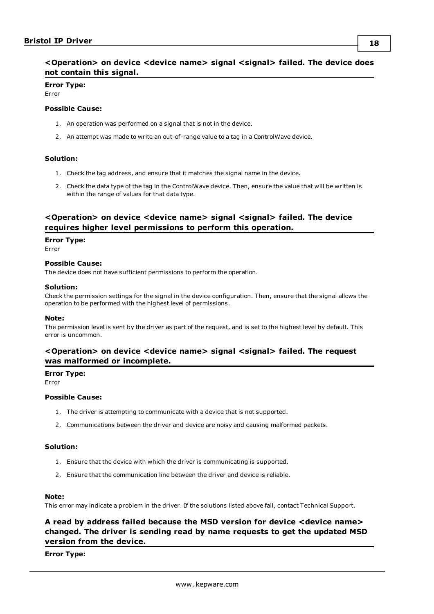## <span id="page-17-0"></span>**<Operation> on device <device name> signal <signal> failed. The device does not contain this signal.**

**Error Type:**

Error

#### **Possible Cause:**

- 1. An operation was performed on a signal that is not in the device.
- 2. An attempt was made to write an out-of-range value to a tag in a ControlWave device.

#### **Solution:**

- 1. Check the tag address, and ensure that it matches the signal name in the device.
- 2. Check the data type of the tag in the ControlWave device. Then, ensure the value that will be written is within the range of values for that data type.

## <span id="page-17-1"></span>**<Operation> on device <device name> signal <signal> failed. The device requires higher level permissions to perform this operation.**

#### **Error Type:**

Error

#### **Possible Cause:**

The device does not have sufficient permissions to perform the operation.

#### **Solution:**

Check the permission settings for the signal in the device configuration. Then, ensure that the signal allows the operation to be performed with the highest level of permissions.

#### **Note:**

The permission level is sent by the driver as part of the request, and is set to the highest level by default. This error is uncommon.

## <span id="page-17-2"></span>**<Operation> on device <device name> signal <signal> failed. The request was malformed or incomplete.**

#### **Error Type:**

Error

#### **Possible Cause:**

- 1. The driver is attempting to communicate with a device that is not supported.
- 2. Communications between the driver and device are noisy and causing malformed packets.

#### **Solution:**

- 1. Ensure that the device with which the driver is communicating is supported.
- 2. Ensure that the communication line between the driver and device is reliable.

#### **Note:**

<span id="page-17-3"></span>This error may indicate a problem in the driver. If the solutions listed above fail, contact Technical Support.

## **A read by address failed because the MSD version for device <device name> changed. The driver is sending read by name requests to get the updated MSD version from the device.**

**Error Type:**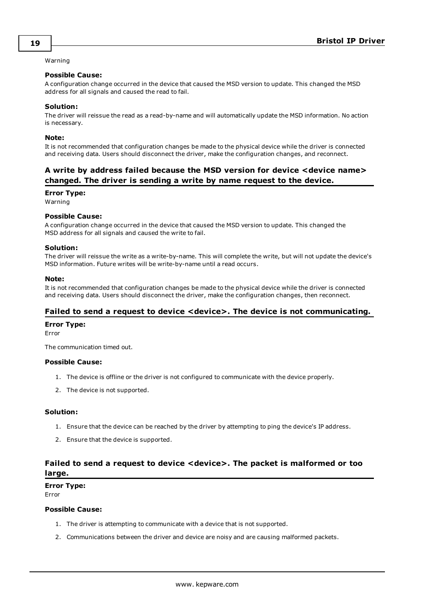#### Warning

#### **Possible Cause:**

A configuration change occurred in the device that caused the MSD version to update. This changed the MSD address for all signals and caused the read to fail.

#### **Solution:**

The driver will reissue the read as a read-by-name and will automatically update the MSD information. No action is necessary.

#### **Note:**

It is not recommended that configuration changes be made to the physical device while the driver is connected and receiving data. Users should disconnect the driver, make the configuration changes, and reconnect.

## <span id="page-18-0"></span>**A write by address failed because the MSD version for device <device name> changed. The driver is sending a write by name request to the device.**

#### **Error Type:**

Warning

#### **Possible Cause:**

A configuration change occurred in the device that caused the MSD version to update. This changed the MSD address for all signals and caused the write to fail.

#### **Solution:**

The driver will reissue the write as a write-by-name. This will complete the write, but will not update the device's MSD information. Future writes will be write-by-name until a read occurs.

#### **Note:**

It is not recommended that configuration changes be made to the physical device while the driver is connected and receiving data. Users should disconnect the driver, make the configuration changes, then reconnect.

## <span id="page-18-1"></span>**Failed to send a request to device <device>. The device is not communicating.**

#### **Error Type:**

Error

The communication timed out.

#### **Possible Cause:**

- 1. The device is offline or the driver is not configured to communicate with the device properly.
- 2. The device is not supported.

#### **Solution:**

- 1. Ensure that the device can be reached by the driver by attempting to ping the device's IP address.
- 2. Ensure that the device is supported.

## <span id="page-18-2"></span>**Failed to send a request to device <device>. The packet is malformed or too large.**

**Error Type:** Error

#### **Possible Cause:**

- 1. The driver is attempting to communicate with a device that is not supported.
- 2. Communications between the driver and device are noisy and are causing malformed packets.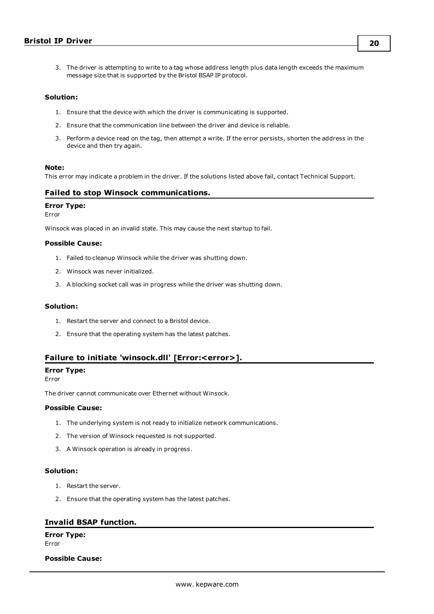3. The driver is attempting to write to a tag whose address length plus data length exceeds the maximum message size that is supported by the Bristol BSAP IP protocol.

#### **Solution:**

- 1. Ensure that the device with which the driver is communicating is supported.
- 2. Ensure that the communication line between the driver and device is reliable.
- 3. Perform a device read on the tag, then attempt a write. If the error persists, shorten the address in the device and then try again.

#### **Note:**

<span id="page-19-0"></span>This error may indicate a problem in the driver. If the solutions listed above fail, contact Technical Support.

### **Failed to stop Winsock communications.**

#### **Error Type:**

Error

Winsock was placed in an invalid state. This may cause the next startup to fail.

#### **Possible Cause:**

- 1. Failed to cleanup Winsock while the driver was shutting down.
- 2. Winsock was never initialized.
- 3. A blocking socket call was in progress while the driver was shutting down.

#### **Solution:**

- 1. Restart the server and connect to a Bristol device.
- 2. Ensure that the operating system has the latest patches.

#### <span id="page-19-1"></span>**Failure to initiate 'winsock.dll' [Error:<error>].**

#### **Error Type:**

Error

The driver cannot communicate over Ethernet without Winsock.

#### **Possible Cause:**

- 1. The underlying system is not ready to initialize network communications.
- 2. The version of Winsock requested is not supported.
- 3. A Winsock operation is already in progress.

#### **Solution:**

- 1. Restart the server.
- 2. Ensure that the operating system has the latest patches.

#### <span id="page-19-2"></span>**Invalid BSAP function.**

**Error Type:** Error

**Possible Cause:**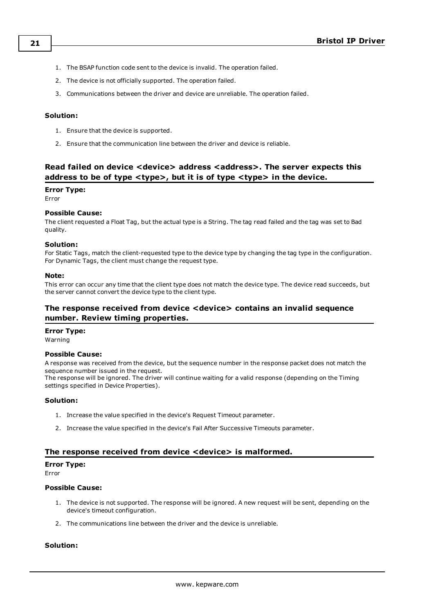- 1. The BSAP function code sent to the device is invalid. The operation failed.
- 2. The device is not officially supported. The operation failed.
- 3. Communications between the driver and device are unreliable. The operation failed.

#### **Solution:**

- 1. Ensure that the device is supported.
- 2. Ensure that the communication line between the driver and device is reliable.

## <span id="page-20-0"></span>**Read failed on device <device> address <address>. The server expects this address to be of type <type>, but it is of type <type> in the device.**

#### **Error Type:**

Error

#### **Possible Cause:**

The client requested a Float Tag, but the actual type is a String. The tag read failed and the tag was set to Bad quality.

#### **Solution:**

For Static Tags, match the client-requested type to the device type by changing the tag type in the configuration. For Dynamic Tags, the client must change the request type.

#### **Note:**

This error can occur any time that the client type does not match the device type. The device read succeeds, but the server cannot convert the device type to the client type.

## <span id="page-20-1"></span>**The response received from device <device> contains an invalid sequence number. Review timing properties.**

#### **Error Type:**

Warning

### **Possible Cause:**

A response was received from the device, but the sequence number in the response packet does not match the sequence number issued in the request.

The response will be ignored. The driver will continue waiting for a valid response (depending on the Timing settings specified in Device Properties).

#### **Solution:**

- 1. Increase the value specified in the device's Request Timeout parameter.
- 2. Increase the value specified in the device's Fail After Successive Timeouts parameter.

#### <span id="page-20-2"></span>**The response received from device <device> is malformed.**

#### **Error Type:**

Error

#### **Possible Cause:**

- 1. The device is not supported. The response will be ignored. A new request will be sent, depending on the device's timeout configuration.
- 2. The communications line between the driver and the device is unreliable.

## **Solution:**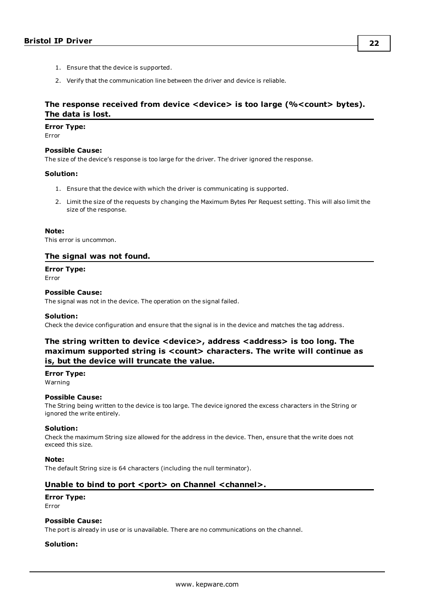- 1. Ensure that the device is supported.
- 2. Verify that the communication line between the driver and device is reliable.

## <span id="page-21-0"></span>**The response received from device <device> is too large (%<count> bytes). The data is lost.**

## **Error Type:**

Error

## **Possible Cause:**

The size of the device's response is too large for the driver. The driver ignored the response.

#### **Solution:**

- 1. Ensure that the device with which the driver is communicating is supported.
- 2. Limit the size of the requests by changing the Maximum Bytes Per Request setting. This will also limit the size of the response.

#### **Note:**

<span id="page-21-1"></span>This error is uncommon.

#### **The signal was not found.**

## **Error Type:**

Error

#### **Possible Cause:**

The signal was not in the device. The operation on the signal failed.

#### **Solution:**

<span id="page-21-2"></span>Check the device configuration and ensure that the signal is in the device and matches the tag address.

## **The string written to device <device>, address <address> is too long. The maximum supported string is <count> characters. The write will continue as is, but the device will truncate the value.**

## **Error Type:**

Warning

#### **Possible Cause:**

The String being written to the device is too large. The device ignored the excess characters in the String or ignored the write entirely.

#### **Solution:**

Check the maximum String size allowed for the address in the device. Then, ensure that the write does not exceed this size.

#### **Note:**

<span id="page-21-3"></span>The default String size is 64 characters (including the null terminator).

#### **Unable to bind to port <port> on Channel <channel>.**

## **Error Type:**

Error

#### **Possible Cause:**

The port is already in use or is unavailable. There are no communications on the channel.

#### **Solution:**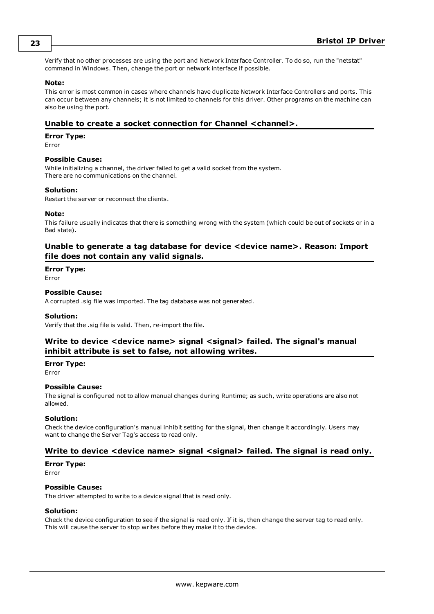Verify that no other processes are using the port and Network Interface Controller. To do so, run the "netstat" command in Windows. Then, change the port or network interface if possible.

#### **Note:**

This error is most common in cases where channels have duplicate Network Interface Controllers and ports. This can occur between any channels; it is not limited to channels for this driver. Other programs on the machine can also be using the port.

### <span id="page-22-0"></span>**Unable to create a socket connection for Channel <channel>.**

#### **Error Type:**

Error

#### **Possible Cause:**

While initializing a channel, the driver failed to get a valid socket from the system. There are no communications on the channel.

#### **Solution:**

Restart the server or reconnect the clients.

#### **Note:**

This failure usually indicates that there is something wrong with the system (which could be out of sockets or in a Bad state).

## <span id="page-22-1"></span>**Unable to generate a tag database for device <device name>. Reason: Import file does not contain any valid signals.**

#### **Error Type:**

Error

#### **Possible Cause:**

A corrupted .sig file was imported. The tag database was not generated.

#### **Solution:**

<span id="page-22-2"></span>Verify that the .sig file is valid. Then, re-import the file.

## **Write to device <device name> signal <signal> failed. The signal's manual inhibit attribute is set to false, not allowing writes.**

#### **Error Type:**

Error

#### **Possible Cause:**

The signal is configured not to allow manual changes during Runtime; as such, write operations are also not allowed.

#### **Solution:**

Check the device configuration's manual inhibit setting for the signal, then change it accordingly. Users may want to change the Server Tag's access to read only.

#### <span id="page-22-3"></span>**Write to device <device name> signal <signal> failed. The signal is read only.**

#### **Error Type:**

Error

#### **Possible Cause:**

The driver attempted to write to a device signal that is read only.

#### **Solution:**

Check the device configuration to see if the signal is read only. If it is, then change the server tag to read only. This will cause the server to stop writes before they make it to the device.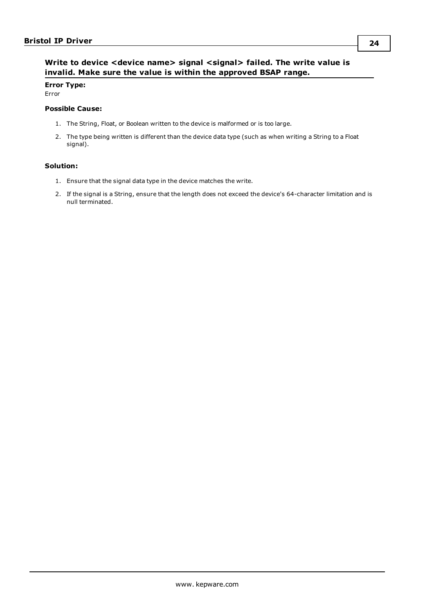## <span id="page-23-0"></span>**Write to device <device name> signal <signal> failed. The write value is invalid. Make sure the value is within the approved BSAP range.**

**Error Type:**

Error

#### **Possible Cause:**

- 1. The String, Float, or Boolean written to the device is malformed or is too large.
- 2. The type being written is different than the device data type (such as when writing a String to a Float signal).

### **Solution:**

- 1. Ensure that the signal data type in the device matches the write.
- 2. If the signal is a String, ensure that the length does not exceed the device's 64-character limitation and is null terminated.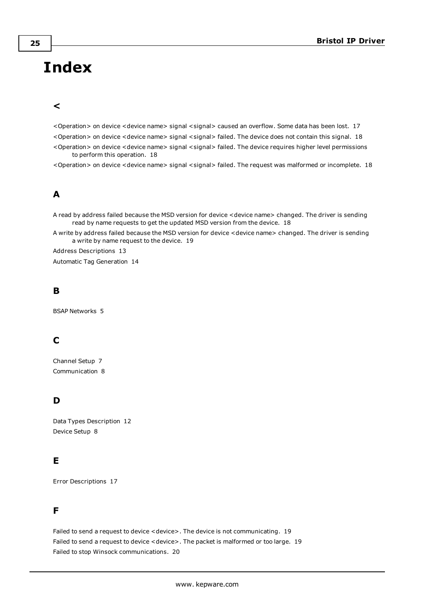# <span id="page-24-0"></span>**Index**

## **<**

<Operation> on device <device name> signal <signal> caused an overflow. Some data has been lost. [17](#page-16-1)

<Operation> on device <device name> signal <signal> failed. The device does not contain this signal. [18](#page-17-0)

<Operation> on device <device name> signal <signal> failed. The device requires higher level permissions to perform this operation. [18](#page-17-1)

<Operation> on device <device name> signal <signal> failed. The request was malformed or incomplete. [18](#page-17-2)

## **A**

A read by address failed because the MSD version for device <device name> changed. The driver is sending read by name requests to get the updated MSD version from the device. [18](#page-17-3)

A write by address failed because the MSD version for device <device name> changed. The driver is sending a write by name request to the device. [19](#page-18-0)

Address Descriptions [13](#page-12-0)

Automatic Tag Generation [14](#page-13-0)

## **B**

BSAP Networks [5](#page-4-2)

## **C**

Channel Setup [7](#page-6-0) Communication [8](#page-7-1)

## **D**

Data Types Description [12](#page-11-0) Device Setup [8](#page-7-0)

## **E**

Error Descriptions [17](#page-16-0)

## **F**

Failed to send a request to device < device>. The device is not communicating. [19](#page-18-1) Failed to send a request to device < device>. The packet is malformed or too large. [19](#page-18-2) Failed to stop Winsock communications. [20](#page-19-0)